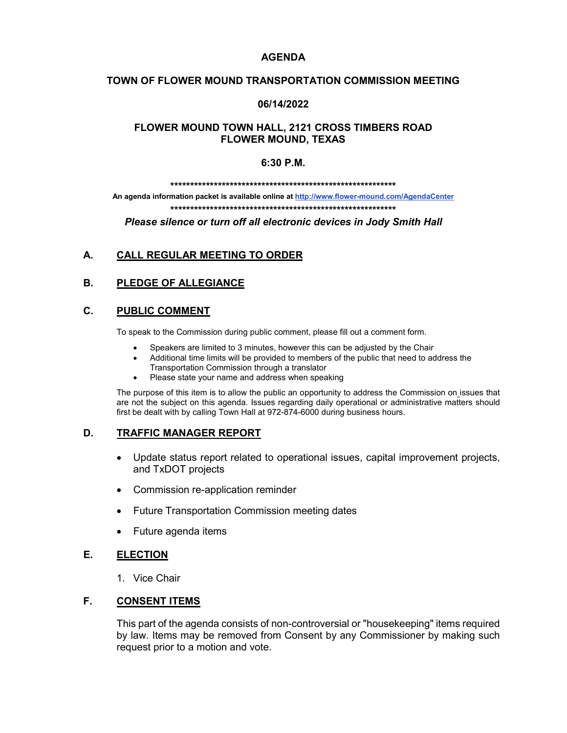### **AGENDA**

#### **TOWN OF FLOWER MOUND TRANSPORTATION COMMISSION MEETING**

#### **06/14/2022**

### **FLOWER MOUND TOWN HALL, 2121 CROSS TIMBERS ROAD FLOWER MOUND, TEXAS**

#### **6:30 P.M.**

**\*\*\*\*\*\*\*\*\*\*\*\*\*\*\*\*\*\*\*\*\*\*\*\*\*\*\*\*\*\*\*\*\*\*\*\*\*\*\*\*\*\*\*\*\*\*\*\*\*\*\*\*\*\*\*\*\***

**An agenda information packet is available online a[t http://www.flower-mound.com/AgendaCenter](http://www.flower-mound.com/AgendaCenter) \*\*\*\*\*\*\*\*\*\*\*\*\*\*\*\*\*\*\*\*\*\*\*\*\*\*\*\*\*\*\*\*\*\*\*\*\*\*\*\*\*\*\*\*\*\*\*\*\*\*\*\*\*\*\*\*\***

*Please silence or turn off all electronic devices in Jody Smith Hall*

# **A. CALL REGULAR MEETING TO ORDER**

## **B. PLEDGE OF ALLEGIANCE**

### **C. PUBLIC COMMENT**

To speak to the Commission during public comment, please fill out a comment form.

- Speakers are limited to 3 minutes, however this can be adjusted by the Chair
- Additional time limits will be provided to members of the public that need to address the
- Transportation Commission through a translator
- Please state your name and address when speaking

The purpose of this item is to allow the public an opportunity to address the Commission on issues that are not the subject on this agenda. Issues regarding daily operational or administrative matters should first be dealt with by calling Town Hall at 972-874-6000 during business hours.

## **D. TRAFFIC MANAGER REPORT**

- Update status report related to operational issues, capital improvement projects, and TxDOT projects
- Commission re-application reminder
- Future Transportation Commission meeting dates
- Future agenda items

## **E. ELECTION**

1. Vice Chair

### **F. CONSENT ITEMS**

This part of the agenda consists of non-controversial or "housekeeping" items required by law. Items may be removed from Consent by any Commissioner by making such request prior to a motion and vote.